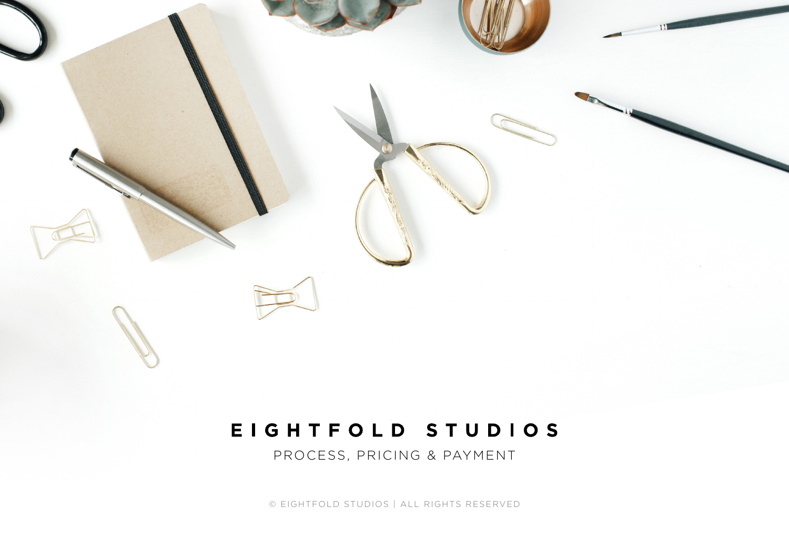# EIGHTFOLD STUDIOS

PROCESS, PRICING & PAYMENT

© EIGHTFOLD STUDIOS | ALL RIGHTS RESERVED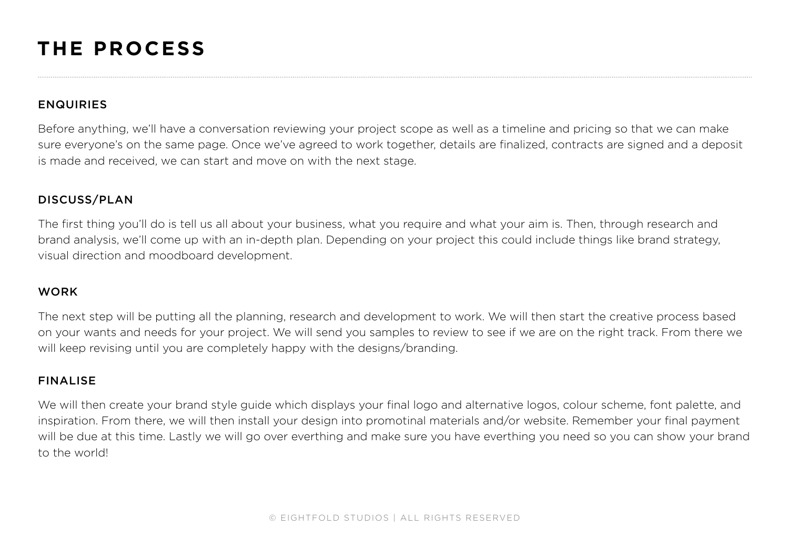# **THE PROCESS**

### **ENQUIRIES**

Before anything, we'll have a conversation reviewing your project scope as well as a timeline and pricing so that we can make sure everyone's on the same page. Once we've agreed to work together, details are finalized, contracts are signed and a deposit is made and received, we can start and move on with the next stage.

### DISCUSS/PLAN

The first thing you'll do is tell us all about your business, what you require and what your aim is. Then, through research and brand analysis, we'll come up with an in-depth plan. Depending on your project this could include things like brand strategy, visual direction and moodboard development.

### **WORK**

The next step will be putting all the planning, research and development to work. We will then start the creative process based on your wants and needs for your project. We will send you samples to review to see if we are on the right track. From there we will keep revising until you are completely happy with the designs/branding.

### FINALISE

We will then create your brand style quide which displays your final logo and alternative logos, colour scheme, font palette, and inspiration. From there, we will then install your design into promotinal materials and/or website. Remember your final payment will be due at this time. Lastly we will go over everthing and make sure you have everthing you need so you can show your brand to the world!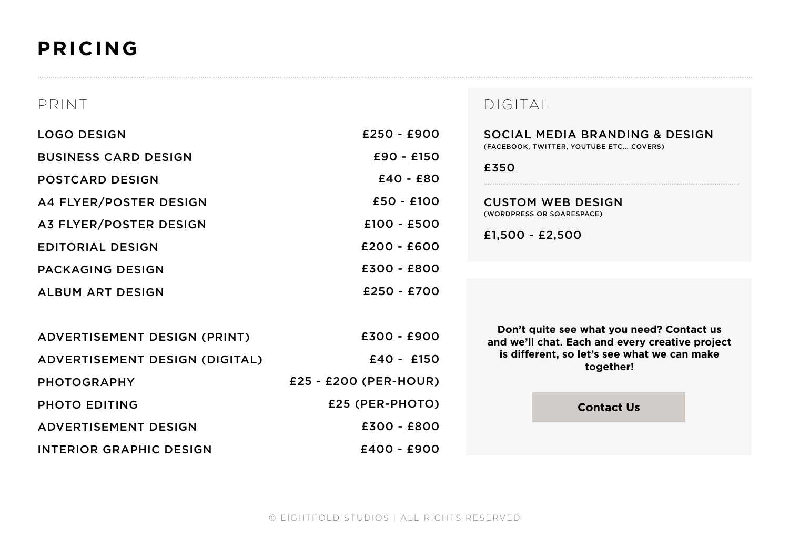# **PRICING**

| PRINT                          |                       | DIGITAL                                                                                                                                                  |
|--------------------------------|-----------------------|----------------------------------------------------------------------------------------------------------------------------------------------------------|
| <b>LOGO DESIGN</b>             | $£250 - £900$         | SOCIAL MEDIA BRANDING & DESIGN<br>(FACEBOOK, TWITTER, YOUTUBE ETC COVERS)<br>£350                                                                        |
| <b>BUSINESS CARD DESIGN</b>    | $£90 - £150$          |                                                                                                                                                          |
| <b>POSTCARD DESIGN</b>         | $£40 - £80$           |                                                                                                                                                          |
| A4 FLYER/POSTER DESIGN         | £50 - £100            | <b>CUSTOM WEB DESIGN</b>                                                                                                                                 |
| A3 FLYER/POSTER DESIGN         | $£100 - £500$         | (WORDPRESS OR SQARESPACE)                                                                                                                                |
| <b>EDITORIAL DESIGN</b>        | $£200 - £600$         | $£1,500 - £2,500$                                                                                                                                        |
| <b>PACKAGING DESIGN</b>        | £300 - £800           |                                                                                                                                                          |
| <b>ALBUM ART DESIGN</b>        | £250 - £700           |                                                                                                                                                          |
|                                |                       |                                                                                                                                                          |
| ADVERTISEMENT DESIGN (PRINT)   | $£300 - £900$         | Don't quite see what you need? Contact us<br>and we'll chat. Each and every creative project<br>is different, so let's see what we can make<br>together! |
| ADVERTISEMENT DESIGN (DIGITAL) | $£40 - £150$          |                                                                                                                                                          |
| <b>PHOTOGRAPHY</b>             | £25 - £200 (PER-HOUR) |                                                                                                                                                          |
| <b>PHOTO EDITING</b>           | £25 (PER-PHOTO)       | <b>Contact Us</b>                                                                                                                                        |
| <b>ADVERTISEMENT DESIGN</b>    | $£300 - £800$         |                                                                                                                                                          |
| <b>INTERIOR GRAPHIC DESIGN</b> | $£400 - £900$         |                                                                                                                                                          |
|                                |                       |                                                                                                                                                          |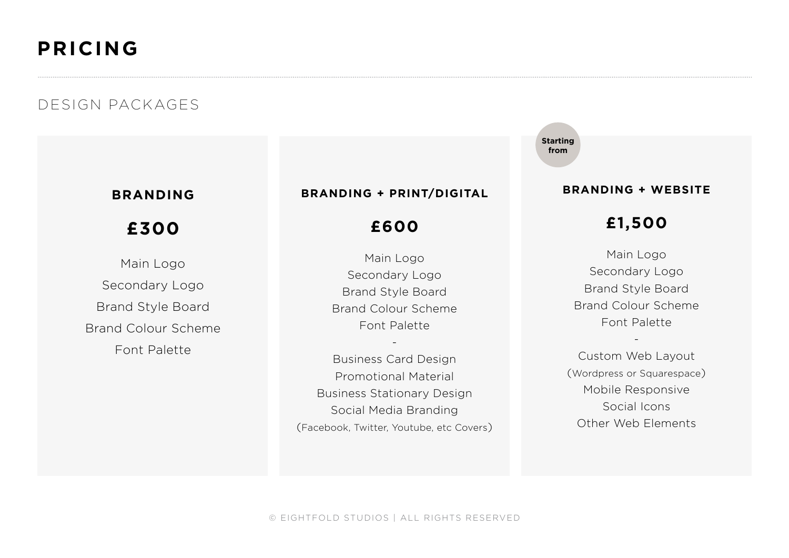# **PRICING**

## DESIGN PACKAGES

## **BRANDING**

## **£300**

Main Logo Secondary Logo Brand Style Board Brand Colour Scheme Font Palette

### **BRANDING + PRINT/DIGITAL**

## **£600**

Main Logo Secondary Logo Brand Style Board Brand Colour Scheme Font Palette

-

Business Card Design Promotional Material Business Stationary Design Social Media Branding (Facebook, Twitter, Youtube, etc Covers) **Starting from**

### **BRANDING + WEBSITE**

## **£1,500**

Main Logo Secondary Logo Brand Style Board Brand Colour Scheme Font Palette

Custom Web Layout (Wordpress or Squarespace) Mobile Responsive Social Icons Other Web Elements

-